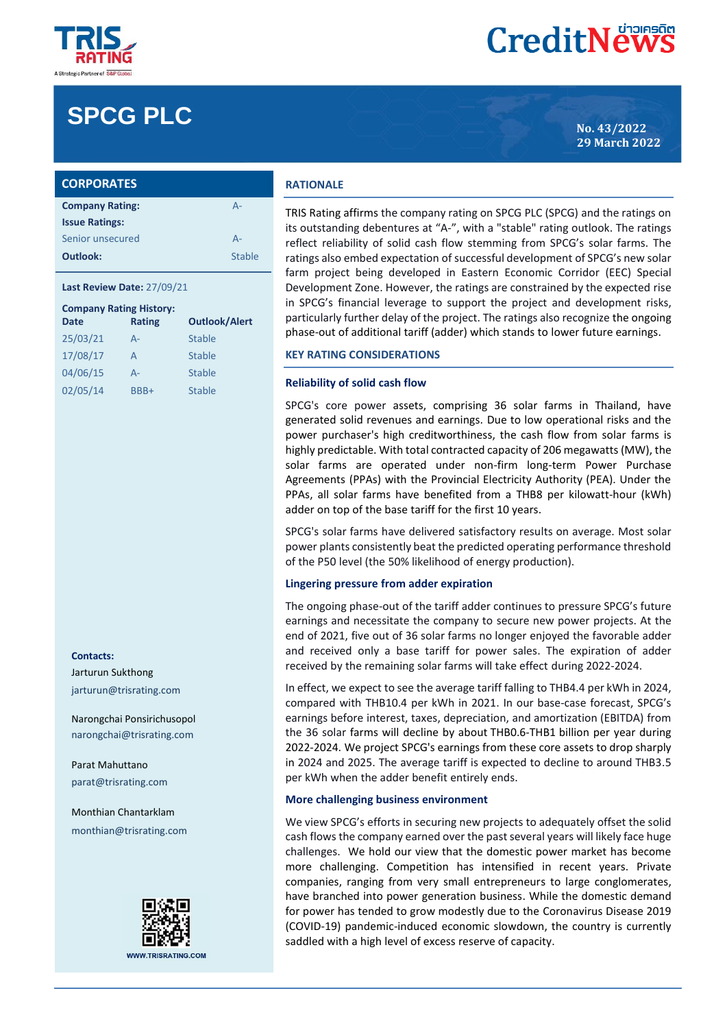

# **SPCG PLC No. 43/2022**

| <b>CORPORATES</b>      |               |  |
|------------------------|---------------|--|
| <b>Company Rating:</b> | $A -$         |  |
| <b>Issue Ratings:</b>  |               |  |
| Senior unsecured       | $A -$         |  |
| Outlook:               | <b>Stable</b> |  |

#### **Last Review Date:** 27/09/21

| <b>Company Rating History:</b> |               |                      |  |  |  |  |
|--------------------------------|---------------|----------------------|--|--|--|--|
| Date                           | <b>Rating</b> | <b>Outlook/Alert</b> |  |  |  |  |
| 25/03/21                       | $A -$         | <b>Stable</b>        |  |  |  |  |
| 17/08/17                       | A             | <b>Stable</b>        |  |  |  |  |
| 04/06/15                       | $A -$         | <b>Stable</b>        |  |  |  |  |
| 02/05/14                       | BBB+          | <b>Stable</b>        |  |  |  |  |

#### **Contacts:**

Jarturun Sukthong jarturun@trisrating.com

Narongchai Ponsirichusopol narongchai@trisrating.com

Parat Mahuttano parat@trisrating.com

Monthian Chantarklam monthian@trisrating.com



#### **RATIONALE**

TRIS Rating affirms the company rating on SPCG PLC (SPCG) and the ratings on its outstanding debentures at "A-", with a "stable" rating outlook. The ratings reflect reliability of solid cash flow stemming from SPCG's solar farms. The ratings also embed expectation of successful development of SPCG's new solar farm project being developed in Eastern Economic Corridor (EEC) Special Development Zone. However, the ratings are constrained by the expected rise in SPCG's financial leverage to support the project and development risks, particularly further delay of the project. The ratings also recognize the ongoing phase-out of additional tariff (adder) which stands to lower future earnings.

## **KEY RATING CONSIDERATIONS**

#### **Reliability of solid cash flow**

SPCG's core power assets, comprising 36 solar farms in Thailand, have generated solid revenues and earnings. Due to low operational risks and the power purchaser's high creditworthiness, the cash flow from solar farms is highly predictable. With total contracted capacity of 206 megawatts (MW), the solar farms are operated under non-firm long-term Power Purchase Agreements (PPAs) with the Provincial Electricity Authority (PEA). Under the PPAs, all solar farms have benefited from a THB8 per kilowatt-hour (kWh) adder on top of the base tariff for the first 10 years.

SPCG's solar farms have delivered satisfactory results on average. Most solar power plants consistently beat the predicted operating performance threshold of the P50 level (the 50% likelihood of energy production).

#### **Lingering pressure from adder expiration**

The ongoing phase-out of the tariff adder continues to pressure SPCG's future earnings and necessitate the company to secure new power projects. At the end of 2021, five out of 36 solar farms no longer enjoyed the favorable adder and received only a base tariff for power sales. The expiration of adder received by the remaining solar farms will take effect during 2022-2024.

In effect, we expect to see the average tariff falling to THB4.4 per kWh in 2024, compared with THB10.4 per kWh in 2021. In our base-case forecast, SPCG's earnings before interest, taxes, depreciation, and amortization (EBITDA) from the 36 solar farms will decline by about THB0.6-THB1 billion per year during 2022-2024. We project SPCG's earnings from these core assets to drop sharply in 2024 and 2025. The average tariff is expected to decline to around THB3.5 per kWh when the adder benefit entirely ends.

#### **More challenging business environment**

We view SPCG's efforts in securing new projects to adequately offset the solid cash flows the company earned over the past several years will likely face huge challenges. We hold our view that the domestic power market has become more challenging. Competition has intensified in recent years. Private companies, ranging from very small entrepreneurs to large conglomerates, have branched into power generation business. While the domestic demand for power has tended to grow modestly due to the Coronavirus Disease 2019 (COVID-19) pandemic-induced economic slowdown, the country is currently saddled with a high level of excess reserve of capacity.

**29 March 2022**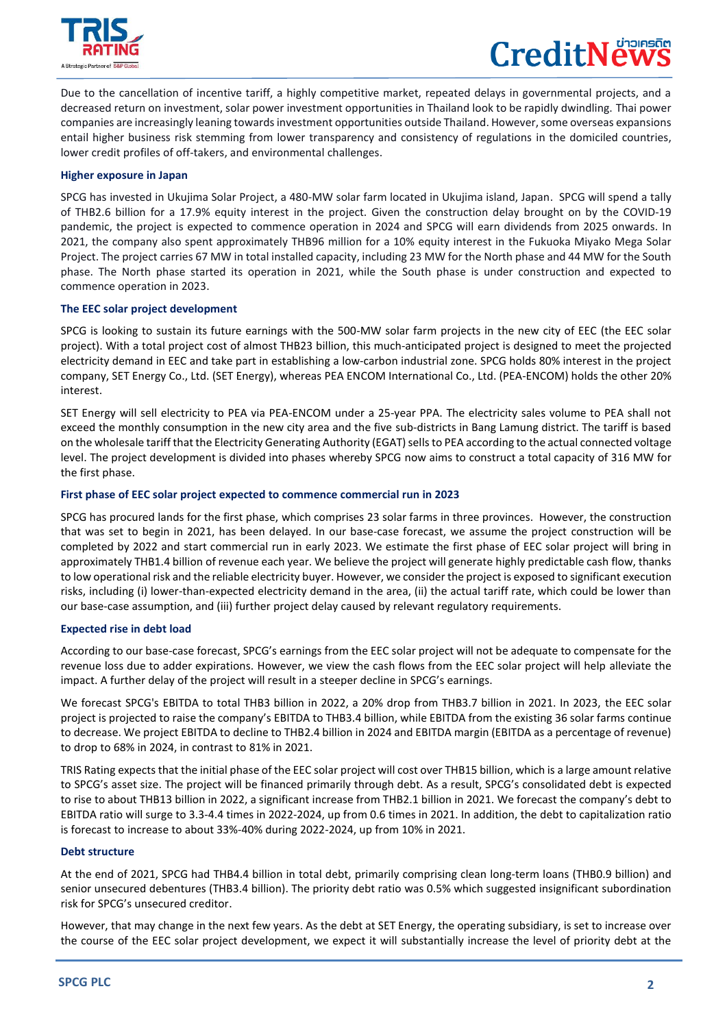

 $\overline{a}$ 

# CreditNe

Due to the cancellation of incentive tariff, a highly competitive market, repeated delays in governmental projects, and a decreased return on investment, solar power investment opportunities in Thailand look to be rapidly dwindling. Thai power companies are increasingly leaning towards investment opportunities outside Thailand. However, some overseas expansions entail higher business risk stemming from lower transparency and consistency of regulations in the domiciled countries, lower credit profiles of off-takers, and environmental challenges.

# **Higher exposure in Japan**

SPCG has invested in Ukujima Solar Project, a 480-MW solar farm located in Ukujima island, Japan. SPCG will spend a tally of THB2.6 billion for a 17.9% equity interest in the project. Given the construction delay brought on by the COVID-19 pandemic, the project is expected to commence operation in 2024 and SPCG will earn dividends from 2025 onwards. In 2021, the company also spent approximately THB96 million for a 10% equity interest in the Fukuoka Miyako Mega Solar Project. The project carries 67 MW in total installed capacity, including 23 MW for the North phase and 44 MW for the South phase. The North phase started its operation in 2021, while the South phase is under construction and expected to commence operation in 2023.

## **The EEC solar project development**

SPCG is looking to sustain its future earnings with the 500-MW solar farm projects in the new city of EEC (the EEC solar project). With a total project cost of almost THB23 billion, this much-anticipated project is designed to meet the projected electricity demand in EEC and take part in establishing a low-carbon industrial zone. SPCG holds 80% interest in the project company, SET Energy Co., Ltd. (SET Energy), whereas PEA ENCOM International Co., Ltd. (PEA-ENCOM) holds the other 20% interest.

SET Energy will sell electricity to PEA via PEA-ENCOM under a 25-year PPA. The electricity sales volume to PEA shall not exceed the monthly consumption in the new city area and the five sub-districts in Bang Lamung district. The tariff is based on the wholesale tariff that the Electricity Generating Authority (EGAT) sells to PEA according to the actual connected voltage level. The project development is divided into phases whereby SPCG now aims to construct a total capacity of 316 MW for the first phase.

# **First phase of EEC solar project expected to commence commercial run in 2023**

SPCG has procured lands for the first phase, which comprises 23 solar farms in three provinces. However, the construction that was set to begin in 2021, has been delayed. In our base-case forecast, we assume the project construction will be completed by 2022 and start commercial run in early 2023. We estimate the first phase of EEC solar project will bring in approximately THB1.4 billion of revenue each year. We believe the project will generate highly predictable cash flow, thanks to low operational risk and the reliable electricity buyer. However, we consider the project is exposed to significant execution risks, including (i) lower-than-expected electricity demand in the area, (ii) the actual tariff rate, which could be lower than our base-case assumption, and (iii) further project delay caused by relevant regulatory requirements.

# **Expected rise in debt load**

According to our base-case forecast, SPCG's earnings from the EEC solar project will not be adequate to compensate for the revenue loss due to adder expirations. However, we view the cash flows from the EEC solar project will help alleviate the impact. A further delay of the project will result in a steeper decline in SPCG's earnings.

We forecast SPCG's EBITDA to total THB3 billion in 2022, a 20% drop from THB3.7 billion in 2021. In 2023, the EEC solar project is projected to raise the company's EBITDA to THB3.4 billion, while EBITDA from the existing 36 solar farms continue to decrease. We project EBITDA to decline to THB2.4 billion in 2024 and EBITDA margin (EBITDA as a percentage of revenue) to drop to 68% in 2024, in contrast to 81% in 2021.

TRIS Rating expects that the initial phase of the EEC solar project will cost over THB15 billion, which is a large amount relative to SPCG's asset size. The project will be financed primarily through debt. As a result, SPCG's consolidated debt is expected to rise to about THB13 billion in 2022, a significant increase from THB2.1 billion in 2021. We forecast the company's debt to EBITDA ratio will surge to 3.3-4.4 times in 2022-2024, up from 0.6 times in 2021. In addition, the debt to capitalization ratio is forecast to increase to about 33%-40% during 2022-2024, up from 10% in 2021.

#### **Debt structure**

At the end of 2021, SPCG had THB4.4 billion in total debt, primarily comprising clean long-term loans (THB0.9 billion) and senior unsecured debentures (THB3.4 billion). The priority debt ratio was 0.5% which suggested insignificant subordination risk for SPCG's unsecured creditor.

However, that may change in the next few years. As the debt at SET Energy, the operating subsidiary, is set to increase over the course of the EEC solar project development, we expect it will substantially increase the level of priority debt at the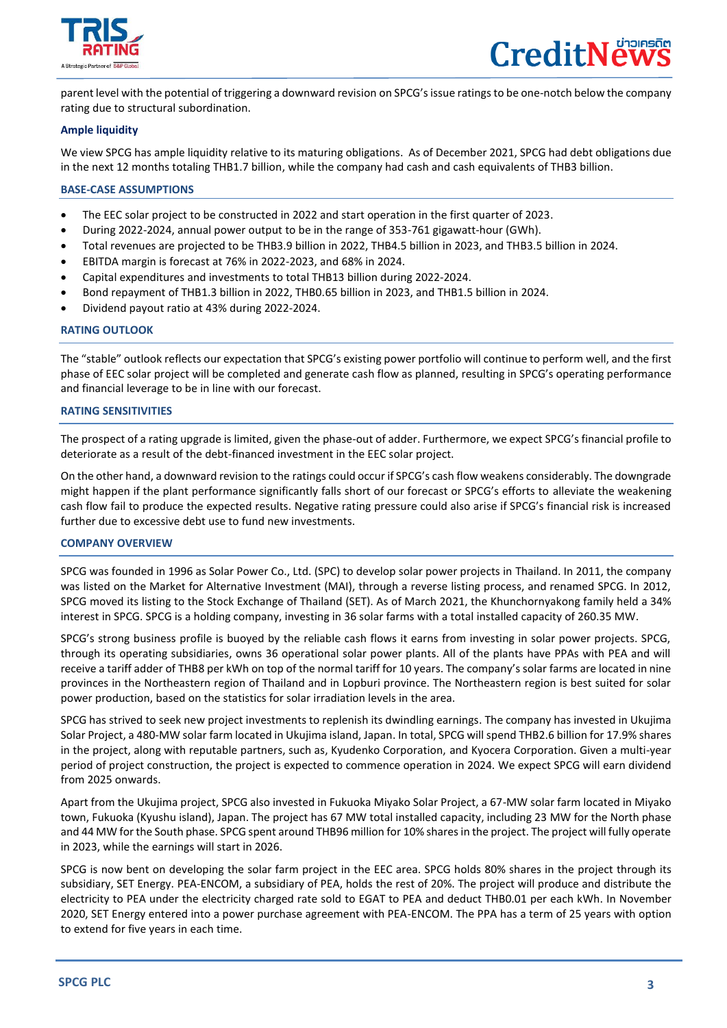

 $\overline{a}$ 

parent level with the potential of triggering a downward revision on SPCG'sissue ratingsto be one-notch below the company rating due to structural subordination.

# **Ample liquidity**

We view SPCG has ample liquidity relative to its maturing obligations. As of December 2021, SPCG had debt obligations due in the next 12 months totaling THB1.7 billion, while the company had cash and cash equivalents of THB3 billion.

## **BASE-CASE ASSUMPTIONS**

- The EEC solar project to be constructed in 2022 and start operation in the first quarter of 2023.
- During 2022-2024, annual power output to be in the range of 353-761 gigawatt-hour (GWh).
- Total revenues are projected to be THB3.9 billion in 2022, THB4.5 billion in 2023, and THB3.5 billion in 2024.
- EBITDA margin is forecast at 76% in 2022-2023, and 68% in 2024.
- Capital expenditures and investments to total THB13 billion during 2022-2024.
- Bond repayment of THB1.3 billion in 2022, THB0.65 billion in 2023, and THB1.5 billion in 2024.
- Dividend payout ratio at 43% during 2022-2024.

#### **RATING OUTLOOK**

The "stable" outlook reflects our expectation that SPCG's existing power portfolio will continue to perform well, and the first phase of EEC solar project will be completed and generate cash flow as planned, resulting in SPCG's operating performance and financial leverage to be in line with our forecast.

#### **RATING SENSITIVITIES**

The prospect of a rating upgrade is limited, given the phase-out of adder. Furthermore, we expect SPCG's financial profile to deteriorate as a result of the debt-financed investment in the EEC solar project.

On the other hand, a downward revision to the ratings could occur if SPCG's cash flow weakens considerably. The downgrade might happen if the plant performance significantly falls short of our forecast or SPCG's efforts to alleviate the weakening cash flow fail to produce the expected results. Negative rating pressure could also arise if SPCG's financial risk is increased further due to excessive debt use to fund new investments.

#### **COMPANY OVERVIEW**

SPCG was founded in 1996 as Solar Power Co., Ltd. (SPC) to develop solar power projects in Thailand. In 2011, the company was listed on the Market for Alternative Investment (MAI), through a reverse listing process, and renamed SPCG. In 2012, SPCG moved its listing to the Stock Exchange of Thailand (SET). As of March 2021, the Khunchornyakong family held a 34% interest in SPCG. SPCG is a holding company, investing in 36 solar farms with a total installed capacity of 260.35 MW.

SPCG's strong business profile is buoyed by the reliable cash flows it earns from investing in solar power projects. SPCG, through its operating subsidiaries, owns 36 operational solar power plants. All of the plants have PPAs with PEA and will receive a tariff adder of THB8 per kWh on top of the normal tariff for 10 years. The company's solar farms are located in nine provinces in the Northeastern region of Thailand and in Lopburi province. The Northeastern region is best suited for solar power production, based on the statistics for solar irradiation levels in the area.

SPCG has strived to seek new project investments to replenish its dwindling earnings. The company has invested in Ukujima Solar Project, a 480-MW solar farm located in Ukujima island, Japan. In total, SPCG will spend THB2.6 billion for 17.9% shares in the project, along with reputable partners, such as, Kyudenko Corporation, and Kyocera Corporation. Given a multi-year period of project construction, the project is expected to commence operation in 2024. We expect SPCG will earn dividend from 2025 onwards.

Apart from the Ukujima project, SPCG also invested in Fukuoka Miyako Solar Project, a 67-MW solar farm located in Miyako town, Fukuoka (Kyushu island), Japan. The project has 67 MW total installed capacity, including 23 MW for the North phase and 44 MW for the South phase. SPCG spent around THB96 million for 10% shares in the project. The project will fully operate in 2023, while the earnings will start in 2026.

SPCG is now bent on developing the solar farm project in the EEC area. SPCG holds 80% shares in the project through its subsidiary, SET Energy. PEA-ENCOM, a subsidiary of PEA, holds the rest of 20%. The project will produce and distribute the electricity to PEA under the electricity charged rate sold to EGAT to PEA and deduct THB0.01 per each kWh. In November 2020, SET Energy entered into a power purchase agreement with PEA-ENCOM. The PPA has a term of 25 years with option to extend for five years in each time.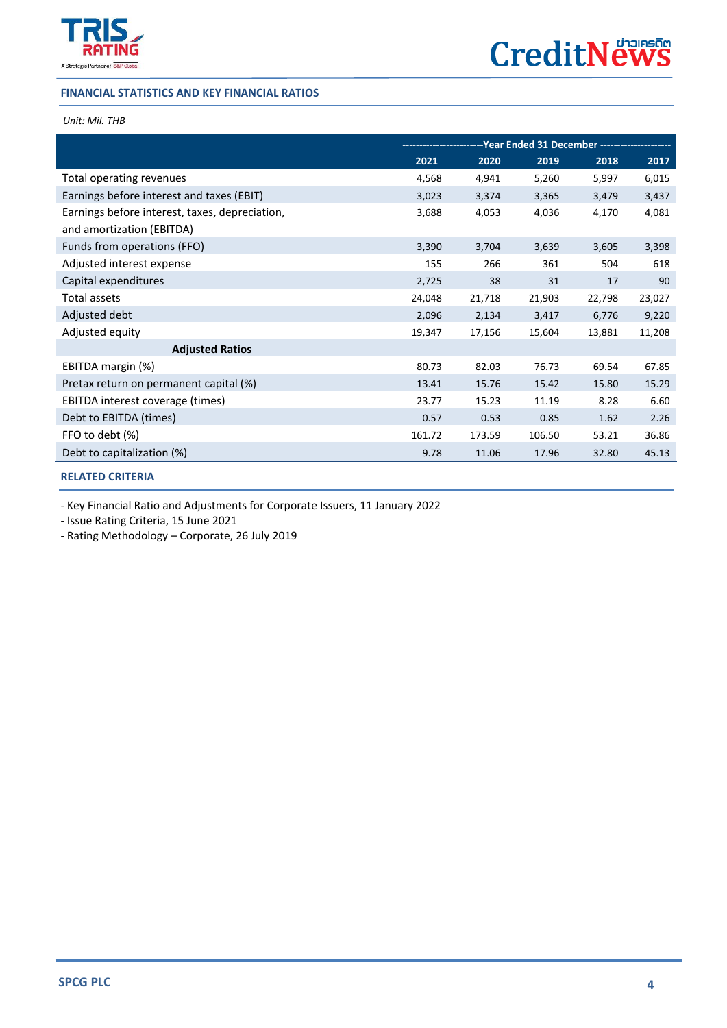

# **FINANCIAL STATISTICS AND KEY FINANCIAL RATIOS**

# *Unit: Mil. THB*

 $\overline{a}$ 

|                                                                             | -------------------Year        Ended 31 December        --------------- |        |        |        |        |
|-----------------------------------------------------------------------------|-------------------------------------------------------------------------|--------|--------|--------|--------|
|                                                                             | 2021                                                                    | 2020   | 2019   | 2018   | 2017   |
| Total operating revenues                                                    | 4,568                                                                   | 4,941  | 5,260  | 5,997  | 6,015  |
| Earnings before interest and taxes (EBIT)                                   | 3,023                                                                   | 3,374  | 3,365  | 3,479  | 3,437  |
| Earnings before interest, taxes, depreciation,<br>and amortization (EBITDA) | 3,688                                                                   | 4,053  | 4,036  | 4,170  | 4,081  |
| Funds from operations (FFO)                                                 | 3,390                                                                   | 3,704  | 3,639  | 3,605  | 3,398  |
| Adjusted interest expense                                                   | 155                                                                     | 266    | 361    | 504    | 618    |
| Capital expenditures                                                        | 2,725                                                                   | 38     | 31     | 17     | 90     |
| Total assets                                                                | 24,048                                                                  | 21,718 | 21,903 | 22,798 | 23,027 |
| Adjusted debt                                                               | 2,096                                                                   | 2,134  | 3,417  | 6,776  | 9,220  |
| Adjusted equity                                                             | 19,347                                                                  | 17,156 | 15,604 | 13,881 | 11,208 |
| <b>Adjusted Ratios</b>                                                      |                                                                         |        |        |        |        |
| EBITDA margin (%)                                                           | 80.73                                                                   | 82.03  | 76.73  | 69.54  | 67.85  |
| Pretax return on permanent capital (%)                                      | 13.41                                                                   | 15.76  | 15.42  | 15.80  | 15.29  |
| EBITDA interest coverage (times)                                            | 23.77                                                                   | 15.23  | 11.19  | 8.28   | 6.60   |
| Debt to EBITDA (times)                                                      | 0.57                                                                    | 0.53   | 0.85   | 1.62   | 2.26   |
| FFO to debt (%)                                                             | 161.72                                                                  | 173.59 | 106.50 | 53.21  | 36.86  |
| Debt to capitalization (%)                                                  | 9.78                                                                    | 11.06  | 17.96  | 32.80  | 45.13  |

# **[RELATED CRITERIA](https://www.trisrating.com/rating-information/rating-criteria/)**

- Key Financial Ratio and Adjustments for Corporate Issuers, 11 January 2022

- Issue Rating Criteria, 15 June 2021

- Rating Methodology – Corporate, 26 July 2019